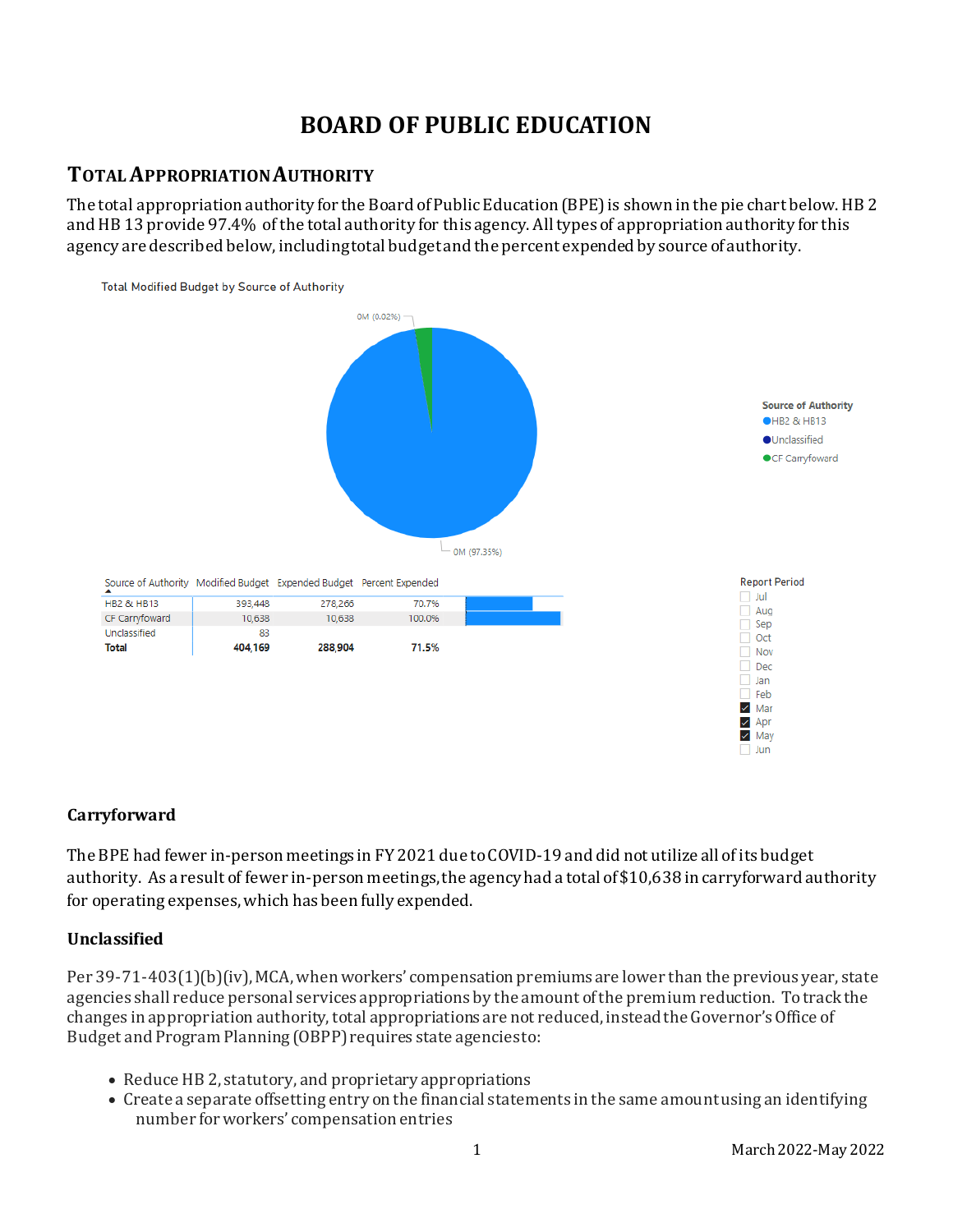# **BOARD OF PUBLIC EDUCATION**

### **TOTAL APPROPRIATION AUTHORITY**

The total appropriation authority for the Board of Public Education (BPE) is shown in the pie chart below. HB 2 and HB 13 provide 97.4% of the total authority for this agency. All types of appropriation authority for this agency are described below, including total budget and the percent expended by source of authority.



### **Carryforward**

The BPE had fewer in-person meetings in FY 2021 due to COVID-19 and did not utilize all of its budget authority. As a result of fewer in-person meetings, the agency had a total of \$10,638 in carryforward authority for operating expenses, which has been fully expended.

### **Unclassified**

Per 39-71-403(1)(b)(iv), MCA, when workers' compensation premiums are lower than the previous year, state agencies shall reduce personal services appropriations by the amount of the premium reduction. To track the changes in appropriation authority, total appropriations are not reduced, instead the Governor's Office of Budget and Program Planning (OBPP) requires state agencies to:

- Reduce HB 2, statutory, and proprietary appropriations
- Create a separate offsetting entry on the financial statements in the same amount using an identifying number for workers' compensation entries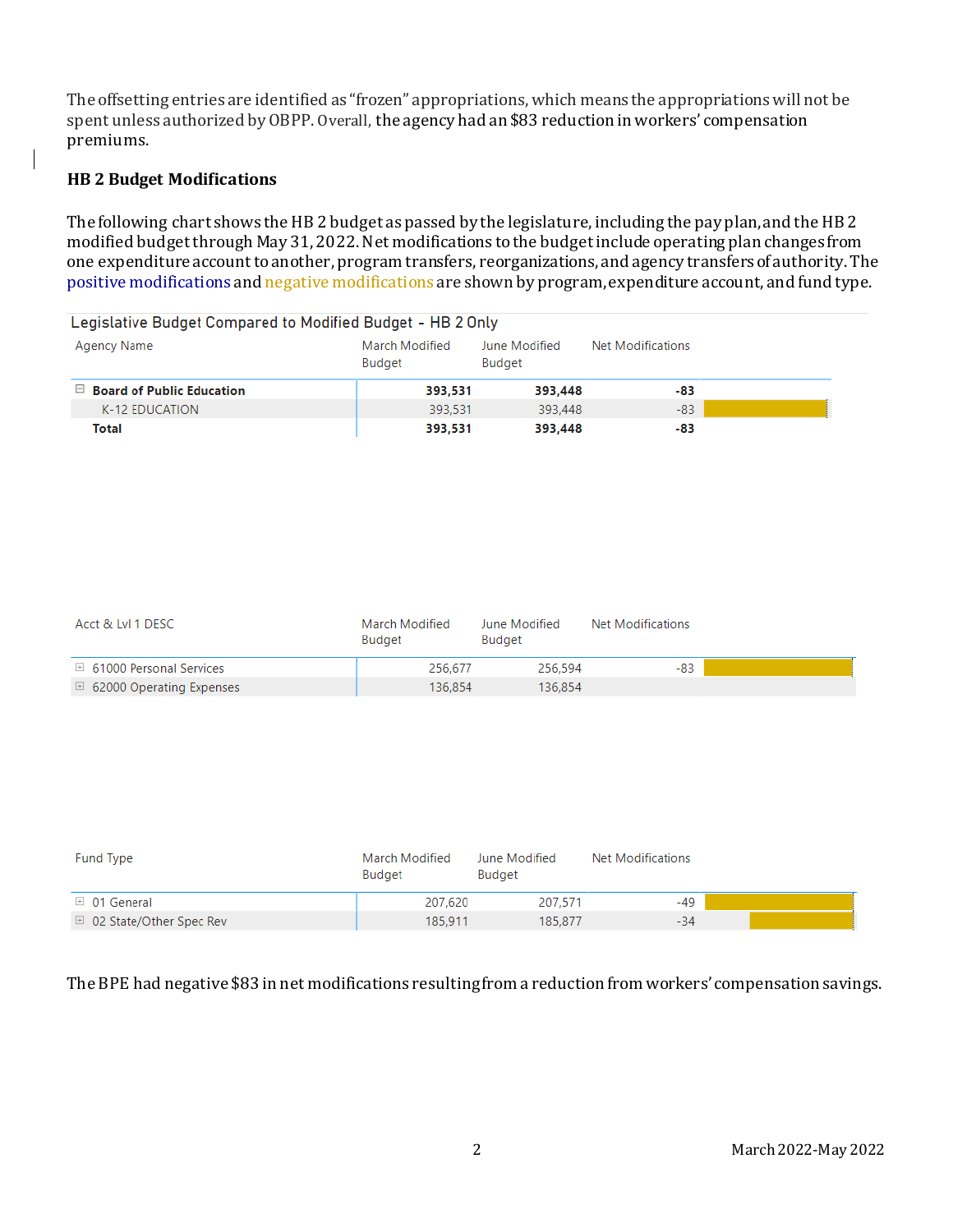The offsetting entries are identified as "frozen" appropriations, which means the appropriations will not be spent unless authorized by OBPP.Overall, the agency had an \$83 reduction in workers' compensation premiums.

### **HB 2 Budget Modifications**

 $\mathsf{l}$ 

The following chart shows the HB 2 budget as passed by the legislature, including the pay plan, and the HB 2 modified budgetthrough May 31, 2022. Net modifications to the budget include operating plan changes from one expenditure account to another, program transfers, reorganizations, and agency transfers of authority. The positive modifications and negative modifications are shown by program, expenditure account, and fund type.

| Legislative Budget Compared to Modified Budget - HB 2 Only |                          |                         |                   |  |  |  |  |  |  |
|------------------------------------------------------------|--------------------------|-------------------------|-------------------|--|--|--|--|--|--|
| Agency Name                                                | March Modified<br>Budget | June Modified<br>Budget | Net Modifications |  |  |  |  |  |  |
| $\Box$ Board of Public Education                           | 393,531                  | 393,448                 | -83               |  |  |  |  |  |  |
| K-12 EDUCATION                                             | 393.531                  | 393,448                 | $-83$             |  |  |  |  |  |  |
| Total                                                      | 393,531                  | 393.448                 | -83               |  |  |  |  |  |  |

| Acct & LvI 1 DESC                   | March Modified<br>Budget | June Modified<br>Budget | Net Modifications |  |
|-------------------------------------|--------------------------|-------------------------|-------------------|--|
| □ 61000 Personal Services           | 256.677                  | 256.594                 | -83               |  |
| $\boxplus$ 62000 Operating Expenses | 136.854                  | 136.854                 |                   |  |

| Fund Type                          | March Modified<br>Budget | June Modified<br><b>Budget</b> | Net Modifications |  |
|------------------------------------|--------------------------|--------------------------------|-------------------|--|
| $\boxplus$ 01 General              | 207.620                  | 207.571                        | -49               |  |
| $\boxplus$ 02 State/Other Spec Rev | 185.911                  | 185.877                        | $-34$             |  |

The BPE had negative \$83 in net modifications resulting from a reduction from workers' compensation savings.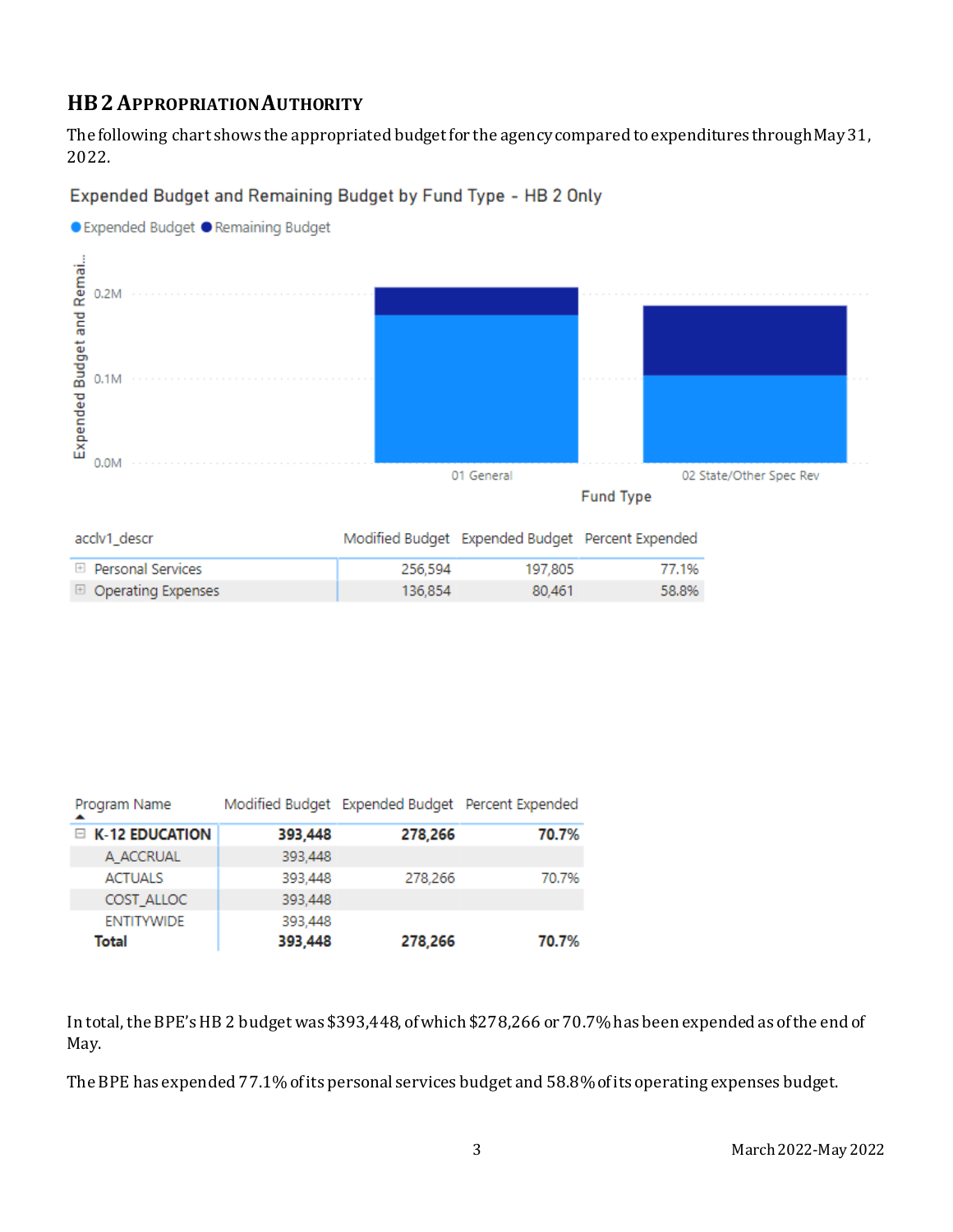# **HB2APPROPRIATION AUTHORITY**

The following chart shows the appropriated budget for the agency compared to expenditures through May 31, 2022.

### Expended Budget and Remaining Budget by Fund Type - HB 2 Only



| Program Name      |         | Modified Budget Expended Budget Percent Expended |       |
|-------------------|---------|--------------------------------------------------|-------|
| E K-12 EDUCATION  | 393,448 | 278,266                                          | 70.7% |
| A ACCRUAL         | 393,448 |                                                  |       |
| <b>ACTUALS</b>    | 393,448 | 278,266                                          | 70.7% |
| COST ALLOC        | 393,448 |                                                  |       |
| <b>ENTITYWIDE</b> | 393,448 |                                                  |       |
| Total             | 393,448 | 278,266                                          | 70.7% |

In total, the BPE's HB 2 budget was \$393,448, of which \$278,266 or 70.7% has been expended as of the end of May.

The BPE has expended 77.1% of its personal services budget and 58.8% of its operating expenses budget.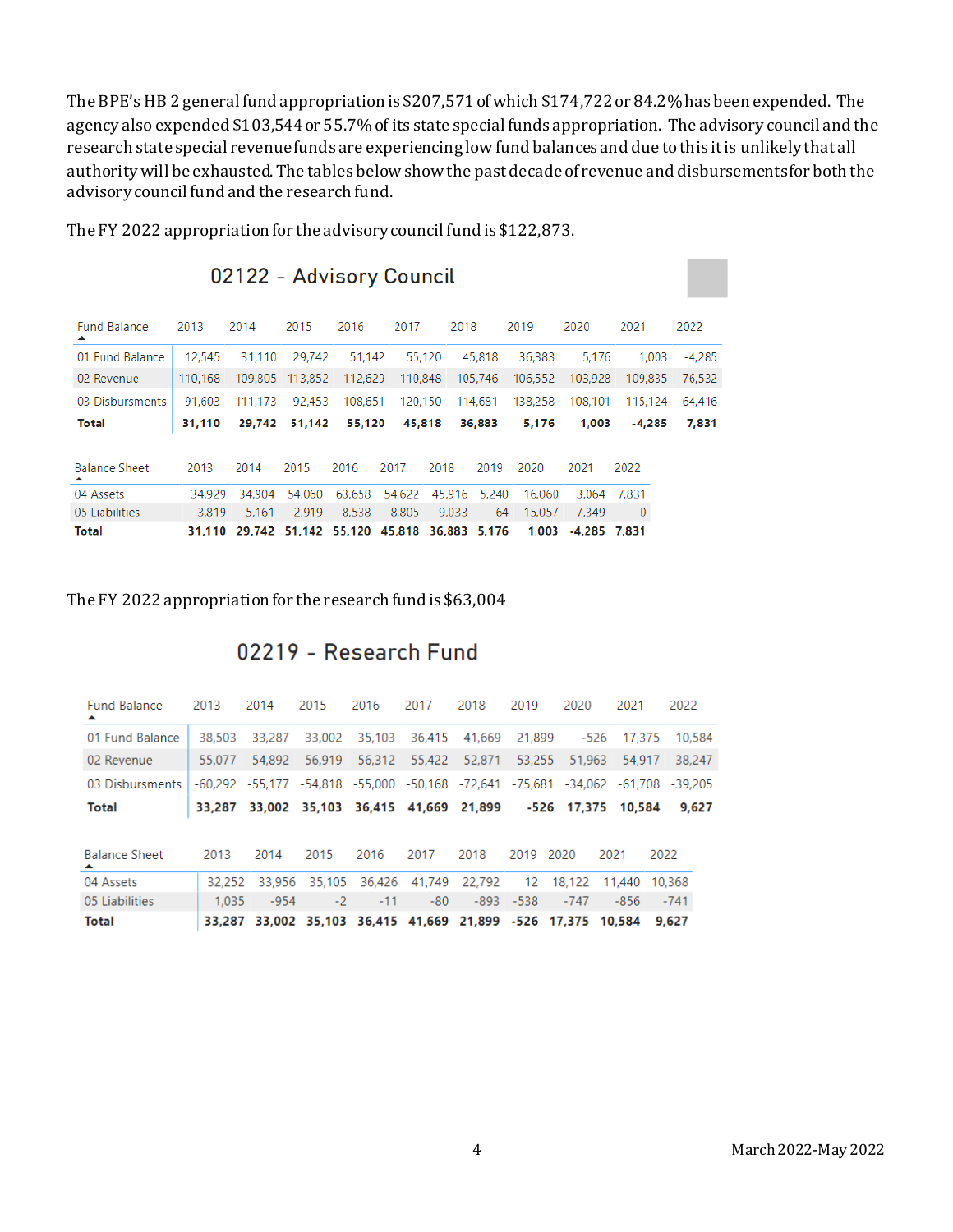The BPE's HB 2 general fund appropriation is \$207,571 of which \$174,722or 84.2%has been expended. The agency also expended \$103,544or 55.7% of its state special funds appropriation. The advisory council and the research state special revenue funds are experiencing low fund balances and due to this it is unlikely that all authority will be exhausted. The tables below show the past decade of revenue and disbursementsfor both the advisory council fund and the research fund.

| <b>Fund Balance</b><br>▴  | 2013     | 2014                                                                                  | 2015     | 2016     | 2017          | 2018          |              | 2019                     | 2020               | 2021             | 2022   |
|---------------------------|----------|---------------------------------------------------------------------------------------|----------|----------|---------------|---------------|--------------|--------------------------|--------------------|------------------|--------|
| 01 Fund Balance           | 12.545   | 31,110                                                                                | 29,742   | 51,142   |               | 55,120        | 45,818       | 36,883                   | 5.176              | 1,003            | -4.285 |
| 02 Revenue                | 110.168  | 109,805                                                                               | 113,852  | 112,629  | 110,848       |               | 105.746      | 106.552                  | 103.928            | 109.835          | 76,532 |
| 03 Disbursments           |          | $-91,603$ $-111,173$ $-92,453$ $-108,651$ $-120,150$ $-114,681$ $-138,258$ $-108,101$ |          |          |               |               |              |                          |                    | -115.124 -64.416 |        |
| <b>Total</b>              | 31.110   | 29.742                                                                                | 51.142   | 55,120   |               | 45,818 36,883 |              | 5.176                    | 1,003              | $-4.285$         | 7,831  |
|                           |          |                                                                                       |          |          |               |               |              |                          |                    |                  |        |
| <b>Balance Sheet</b><br>▴ | 2013     | 2014                                                                                  | 2015     | 2016     | 2017          | 2018          | 2019         | 2020                     | 2021               | 2022             |        |
| 04 Assets                 | 34.929   | 34.904                                                                                | 54,060   |          | 63,658 54,622 |               | 45,916 5,240 | 16,060                   | 3.064 7.831        |                  |        |
| 05 Liabilities            | $-3.819$ | $-5.161$                                                                              | $-2.919$ | $-8,538$ | $-8.805$      | $-9.033$      |              | $-64$ $-15.057$ $-7.349$ |                    | $\mathbf{0}$     |        |
| <b>Total</b>              |          | 31.110 29.742 51.142 55.120 45.818 36.883 5.176                                       |          |          |               |               |              |                          | 1,003 -4,285 7,831 |                  |        |

The FY 2022 appropriation for the advisory council fund is \$122,873.

02122 - Advisory Council

#### The FY 2022 appropriation for the research fund is \$63,004

# 02219 - Research Fund

| <b>Fund Balance</b><br>$\blacktriangle$ | 2013   | 2014                                                         | 2015                               | 2016   | 2017   | 2018   | 2019              | 2020   | 2021                    | 2022      |  |
|-----------------------------------------|--------|--------------------------------------------------------------|------------------------------------|--------|--------|--------|-------------------|--------|-------------------------|-----------|--|
| 01 Fund Balance                         | 38,503 | 33,287                                                       | 33,002                             | 35,103 | 36,415 | 41,669 | 21,899            | $-526$ | 17.375                  | 10,584    |  |
| 02 Revenue                              | 55,077 | 54,892                                                       | 56,919                             | 56,312 | 55,422 | 52,871 | 53,255            | 51.963 | 54.917                  | 38,247    |  |
| 03 Disbursments                         |        | -60,292 -55,177 -54,818 -55,000 -50,168 -72,641              |                                    |        |        |        |                   |        | -75.681 -34.062 -61.708 | $-39.205$ |  |
| <b>Total</b>                            | 33.287 |                                                              | 33,002 35,103 36,415 41,669 21,899 |        |        |        |                   |        | -526 17.375 10.584      | 9,627     |  |
|                                         |        |                                                              |                                    |        |        |        |                   |        |                         |           |  |
| <b>Balance Sheet</b><br>▴               | 2013   | 2014                                                         | 2015                               | 2016   | 2017   | 2018   | 2019              | 2020   | 2021                    | 2022      |  |
| 04 Assets                               | 32.252 | 33,956                                                       | 35,105                             | 36,426 | 41,749 | 22.792 | $12 \overline{ }$ | 18,122 | 11.440                  | 10,368    |  |
| 05 Liabilities                          | 1.035  | $-954$                                                       | $-2$                               | $-11$  | $-80$  |        | $-893 - 538$      | $-747$ | -856                    | $-741$    |  |
| <b>Total</b>                            |        | 33,287 33,002 35,103 36,415 41,669 21,899 -526 17,375 10,584 |                                    |        |        |        |                   |        |                         | 9.627     |  |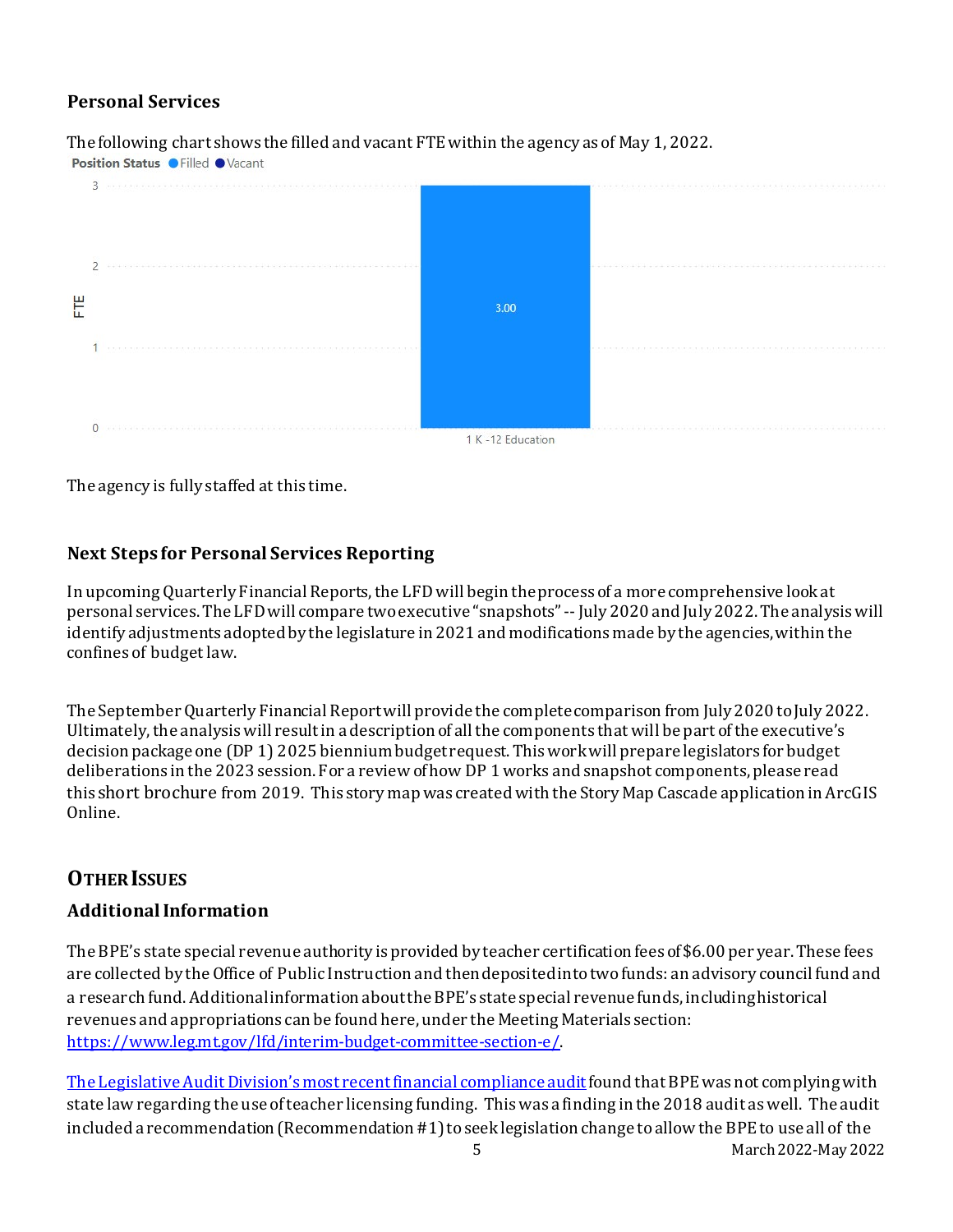# **Personal Services**

The following chart shows the filled and vacant FTE within the agency as of May 1, 2022.<br>Position Status  $\bullet$  Filled  $\bullet$  Vacant





The agency is fully staffed at this time.

### **Next Steps for Personal Services Reporting**

In upcoming Quarterly Financial Reports, the LFD will begin the process of a more comprehensive look at personal services. The LFD will compare two executive "snapshots" --July 2020 and July 2022. The analysis will identify adjustments adopted by the legislature in 2021 and modifications made by the agencies, within the confines of budget law.

The September Quarterly Financial Report will provide the complete comparison from July 2020 to July 2022. Ultimately, the analysis will result in a description of all the components that will be part of the executive's decision package one (DP 1) 2025 biennium budget request. This work will prepare legislators for budget deliberations in the 2023 session. For a review of how DP 1 works and snapshot components, please read this [short brochure](https://montana.maps.arcgis.com/apps/Cascade/index.html?appid=23095fcf15754f4fb38b63c58a884b97) from 2019. This story map was created with the Story Map Cascade application in ArcGIS Online.

# **OTHER ISSUES**

### **Additional Information**

The BPE's state special revenue authority is provided by teacher certification fees of \$6.00 per year. These fees are collected by the Office of Public Instruction and then deposited into two funds: an advisory council fund and a research fund. Additionalinformation about the BPE's state special revenue funds, including historical revenues and appropriations can be found here, under the Meeting Materials section: <https://www.leg.mt.gov/lfd/interim-budget-committee-section-e/>.

5 March 2022-May 2022 [The Legislative Audit Division's most recent financial compliance audit](https://leg.mt.gov/content/Publications/Audit/Summary/20-22-summary.pdf) found that BPE was not complying with state law regarding the use of teacher licensing funding. This was a finding in the 2018 audit as well. The audit included a recommendation (Recommendation #1) to seek legislation change to allow the BPE to use all of the